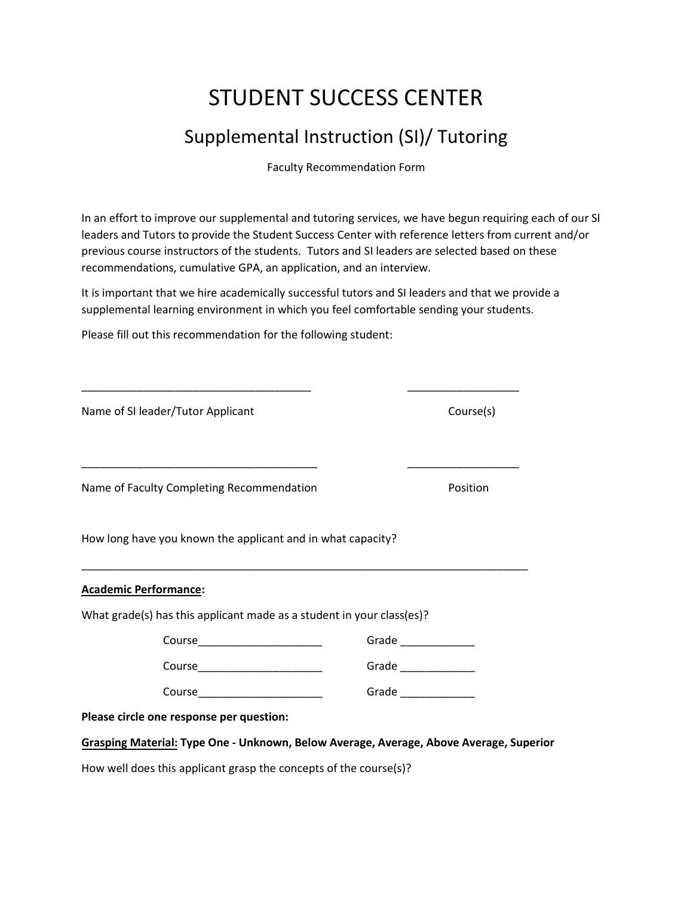## STUDENT SUCCESS CENTER

## Supplemental Instruction (SI)/ Tutoring

Faculty Recommendation Form

In an effort to improve our supplemental and tutoring services, we have begun requiring each of our SI leaders and Tutors to provide the Student Success Center with reference letters from current and/or previous course instructors of the students. Tutors and SI leaders are selected based on these recommendations, cumulative GPA, an application, and an interview.

It is important that we hire academically successful tutors and SI leaders and that we provide a supplemental learning environment in which you feel comfortable sending your students.

Please fill out this recommendation for the following student:

| Name of SI leader/Tutor Applicant                                                                                                                                                                                             | Course(s)             |
|-------------------------------------------------------------------------------------------------------------------------------------------------------------------------------------------------------------------------------|-----------------------|
| the control of the control of the control of the control of the control of the control of the control of the control of the control of the control of the control of the control of the control of the control of the control |                       |
| Name of Faculty Completing Recommendation                                                                                                                                                                                     | Position              |
| How long have you known the applicant and in what capacity?                                                                                                                                                                   |                       |
| <u> Academic Performance</u> :                                                                                                                                                                                                |                       |
| What grade(s) has this applicant made as a student in your class(es)?                                                                                                                                                         |                       |
| Course_________________________                                                                                                                                                                                               |                       |
| Course________________________                                                                                                                                                                                                | Grade ______________  |
| Course_________________________                                                                                                                                                                                               | Grade _______________ |
| Please circle one response per question:                                                                                                                                                                                      |                       |
| Grasping Material: Type One - Unknown, Below Average, Average, Above Average, Superior                                                                                                                                        |                       |

How well does this applicant grasp the concepts of the course(s)?